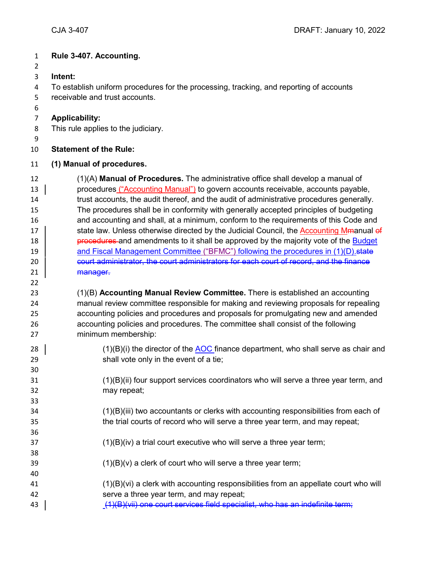### **Rule 3-407. Accounting.**

- 
- **Intent:**

To establish uniform procedures for the processing, tracking, and reporting of accounts

- receivable and trust accounts.
- 

## **Applicability:**

This rule applies to the judiciary.

## **Statement of the Rule:**

#### **(1) Manual of procedures.**

 (1)(A) **Manual of Procedures.** The administrative office shall develop a manual of procedures ("Accounting Manual") to govern accounts receivable, accounts payable, trust accounts, the audit thereof, and the audit of administrative procedures generally. The procedures shall be in conformity with generally accepted principles of budgeting and accounting and shall, at a minimum, conform to the requirements of this Code and 17 state law. Unless otherwise directed by the Judicial Council, the Accounting Mmanual of **procedures** and amendments to it shall be approved by the majority vote of the Budget **and Fiscal Management Committee ("BFMC") following the procedures in (1)(D).** state 20 court administrator, the court administrators for each court of record, and the finance 21 | <del>manager.</del>

# (1)(B) **Accounting Manual Review Committee.** There is established an accounting manual review committee responsible for making and reviewing proposals for repealing accounting policies and procedures and proposals for promulgating new and amended accounting policies and procedures. The committee shall consist of the following minimum membership:

- 28  $\vert$  (1)(B)(i) the director of the AOC finance department, who shall serve as chair and shall vote only in the event of a tie;
- (1)(B)(ii) four support services coordinators who will serve a three year term, and may repeat;
- (1)(B)(iii) two accountants or clerks with accounting responsibilities from each of the trial courts of record who will serve a three year term, and may repeat;
- (1)(B)(iv) a trial court executive who will serve a three year term;
- 39  $(1)(B)(v)$  a clerk of court who will serve a three year term;
- (1)(B)(vi) a clerk with accounting responsibilities from an appellate court who will serve a three year term, and may repeat;
- 43 (1)(B)(vii) one court services field specialist, who has an indefinite term;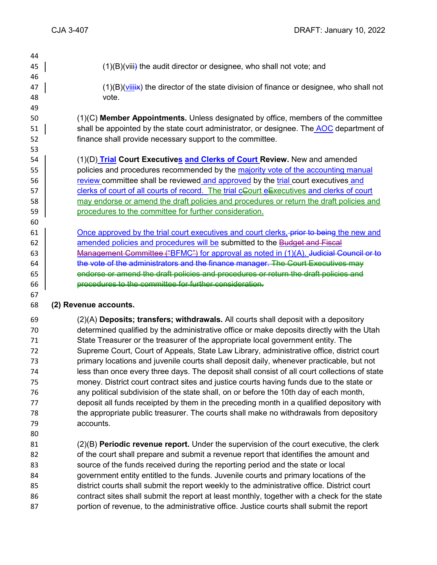- 45  $(1)(B)(viii)$  the audit director or designee, who shall not vote; and 47  $(1)(B)(Viiii)x$  the director of the state division of finance or designee, who shall not vote. (1)(C) **Member Appointments.** Unless designated by office, members of the committee 51 shall be appointed by the state court administrator, or designee. The AOC department of finance shall provide necessary support to the committee. (1)(D) **Trial Court Executives and Clerks of Court Review.** New and amended policies and procedures recommended by the majority vote of the accounting manual **Fig. 20** review committee shall be reviewed and approved by the trial court executives and 57 clerks of court of all courts of record. The trial cGourt eExecutives and clerks of court 58 may endorse or amend the draft policies and procedures or return the draft policies and **procedures to the committee for further consideration.**  Once approved by the trial court executives and court clerks, prior to being the new and **amended policies and procedures will be submitted to the Budget and Fiscal** 63 | Management Committee ("BFMC") for approval as noted in (1)(A). Judicial Council or to  $\parallel$  the vote of the administrators and the finance manager. The Court Executives may 65 endorse or amend the draft policies and procedures or return the draft policies and **procedures to the committee for further consideration. (2) Revenue accounts.** (2)(A) **Deposits; transfers; withdrawals.** All courts shall deposit with a depository determined qualified by the administrative office or make deposits directly with the Utah State Treasurer or the treasurer of the appropriate local government entity. The Supreme Court, Court of Appeals, State Law Library, administrative office, district court primary locations and juvenile courts shall deposit daily, whenever practicable, but not less than once every three days. The deposit shall consist of all court collections of state money. District court contract sites and justice courts having funds due to the state or any political subdivision of the state shall, on or before the 10th day of each month, deposit all funds receipted by them in the preceding month in a qualified depository with the appropriate public treasurer. The courts shall make no withdrawals from depository accounts. (2)(B) **Periodic revenue report.** Under the supervision of the court executive, the clerk of the court shall prepare and submit a revenue report that identifies the amount and source of the funds received during the reporting period and the state or local government entity entitled to the funds. Juvenile courts and primary locations of the
- district courts shall submit the report weekly to the administrative office. District court contract sites shall submit the report at least monthly, together with a check for the state portion of revenue, to the administrative office. Justice courts shall submit the report